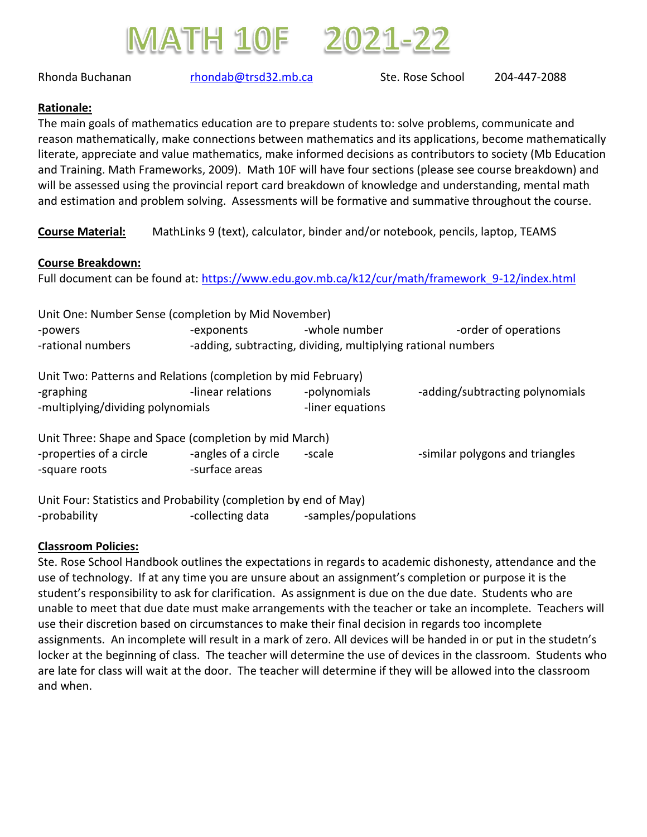



Rhonda Buchanan memberi [rhondab@trsd32.mb.ca](mailto:rhondab@trsd32.mb.ca) Ste. Rose School 204-447-2088

## **Rationale:**

The main goals of mathematics education are to prepare students to: solve problems, communicate and reason mathematically, make connections between mathematics and its applications, become mathematically literate, appreciate and value mathematics, make informed decisions as contributors to society (Mb Education and Training. Math Frameworks, 2009). Math 10F will have four sections (please see course breakdown) and will be assessed using the provincial report card breakdown of knowledge and understanding, mental math and estimation and problem solving. Assessments will be formative and summative throughout the course.

**Course Material:** MathLinks 9 (text), calculator, binder and/or notebook, pencils, laptop, TEAMS

## **Course Breakdown:**

Full document can be found at: https://www.edu.gov.mb.ca/k12/cur/math/framework 9-12/index.html

| Unit One: Number Sense (completion by Mid November)              |                                                              |                      |                                 |  |
|------------------------------------------------------------------|--------------------------------------------------------------|----------------------|---------------------------------|--|
| -powers                                                          | -exponents                                                   | -whole number        | -order of operations            |  |
| -rational numbers                                                | -adding, subtracting, dividing, multiplying rational numbers |                      |                                 |  |
| Unit Two: Patterns and Relations (completion by mid February)    |                                                              |                      |                                 |  |
| -graphing                                                        | -linear relations                                            | -polynomials         | -adding/subtracting polynomials |  |
| -multiplying/dividing polynomials                                |                                                              | -liner equations     |                                 |  |
| Unit Three: Shape and Space (completion by mid March)            |                                                              |                      |                                 |  |
| -properties of a circle                                          | -angles of a circle                                          | -scale               | -similar polygons and triangles |  |
| -square roots                                                    | -surface areas                                               |                      |                                 |  |
| Unit Four: Statistics and Probability (completion by end of May) |                                                              |                      |                                 |  |
| -probability                                                     | -collecting data                                             | -samples/populations |                                 |  |

## **Classroom Policies:**

Ste. Rose School Handbook outlines the expectations in regards to academic dishonesty, attendance and the use of technology. If at any time you are unsure about an assignment's completion or purpose it is the student's responsibility to ask for clarification. As assignment is due on the due date. Students who are unable to meet that due date must make arrangements with the teacher or take an incomplete. Teachers will use their discretion based on circumstances to make their final decision in regards too incomplete assignments. An incomplete will result in a mark of zero. All devices will be handed in or put in the studetn's locker at the beginning of class. The teacher will determine the use of devices in the classroom. Students who are late for class will wait at the door. The teacher will determine if they will be allowed into the classroom and when.